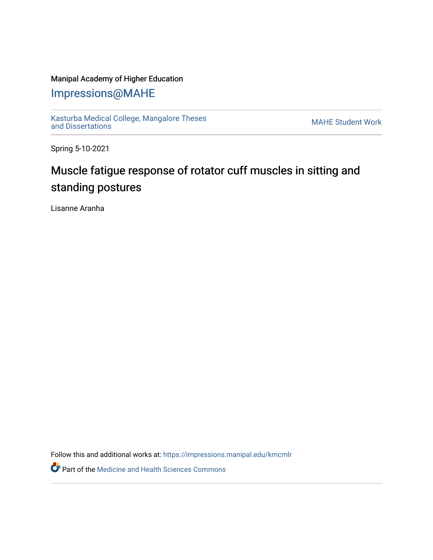## Manipal Academy of Higher Education

## [Impressions@MAHE](https://impressions.manipal.edu/)

[Kasturba Medical College, Mangalore Theses](https://impressions.manipal.edu/kmcmlr) Kasturba Medical College, Mangalore Theses<br>[and Dissertations](https://impressions.manipal.edu/kmcmlr) MAHE Student Work

Spring 5-10-2021

## Muscle fatigue response of rotator cuff muscles in sitting and standing postures

Lisanne Aranha

Follow this and additional works at: [https://impressions.manipal.edu/kmcmlr](https://impressions.manipal.edu/kmcmlr?utm_source=impressions.manipal.edu%2Fkmcmlr%2F137&utm_medium=PDF&utm_campaign=PDFCoverPages) 

**Part of the Medicine and Health Sciences Commons**